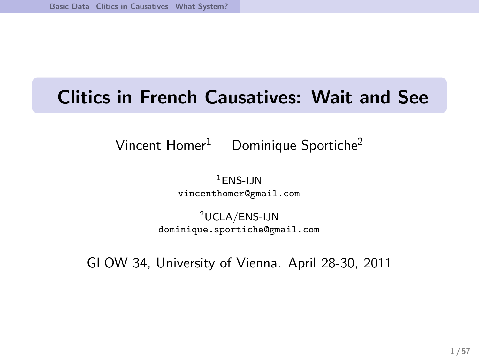# Clitics in French Causatives: Wait and See

### Vincent Homer<sup>1</sup> Dominique Sportiche<sup>2</sup>

 $1$ FNS-IIN vincenthomer@gmail.com

<sup>2</sup>UCLA/ENS-IJN dominique.sportiche@gmail.com

GLOW 34, University of Vienna. April 28-30, 2011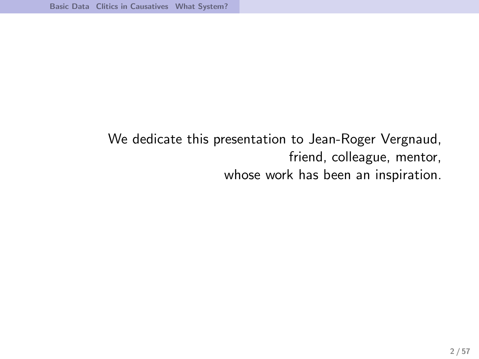### We dedicate this presentation to Jean-Roger Vergnaud, friend, colleague, mentor, whose work has been an inspiration.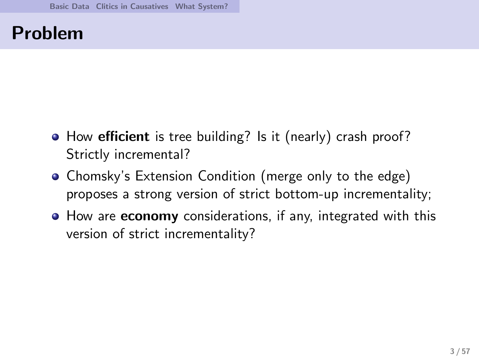## Problem

- How efficient is tree building? Is it (nearly) crash proof? Strictly incremental?
- Chomsky's Extension Condition (merge only to the edge) proposes a strong version of strict bottom-up incrementality;
- How are **economy** considerations, if any, integrated with this version of strict incrementality?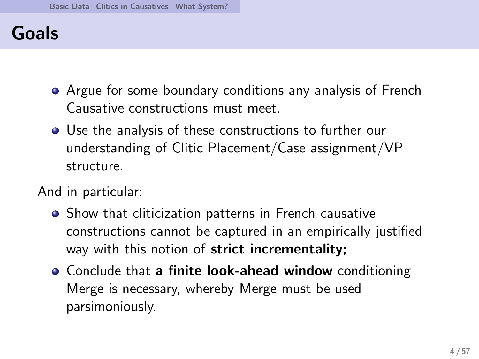## Goals

- Argue for some boundary conditions any analysis of French Causative constructions must meet.
- Use the analysis of these constructions to further our understanding of Clitic Placement/Case assignment/VP structure.

#### And in particular:

- Show that cliticization patterns in French causative constructions cannot be captured in an empirically justified way with this notion of strict incrementality;
- Conclude that a finite look-ahead window conditioning Merge is necessary, whereby Merge must be used parsimoniously.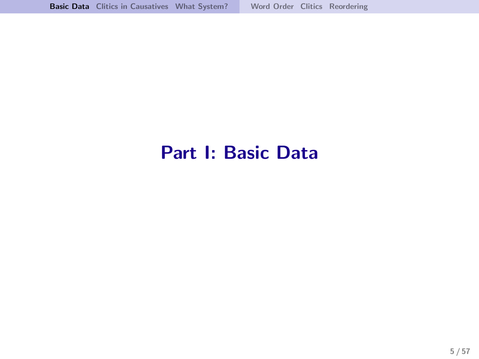## <span id="page-4-0"></span>Part I: Basic Data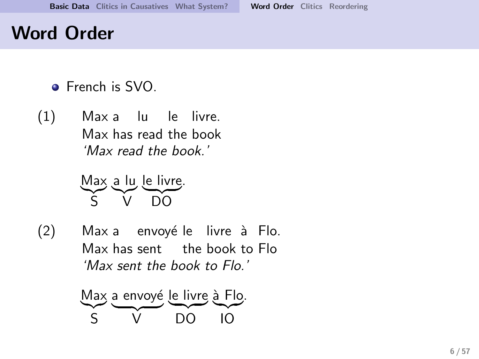## Word Order

- **•** French is SVO.
- (1) Max a lu le livre. Max has read the book 'Max read the book.'

Max a lu le livre .  $\frac{1}{2}$   $\sqrt{100}$  $\widetilde{V}$  $\overline{D}$  $\overline{O}$ 

(2) Max a envoyé le livre à Flo. Max has sent the book to Flo 'Max sent the book to Flo.'

<span id="page-5-0"></span>
$$
\frac{Max}{S} = \frac{envoyé}{VO} = \frac{le - 10}{NO} = 10
$$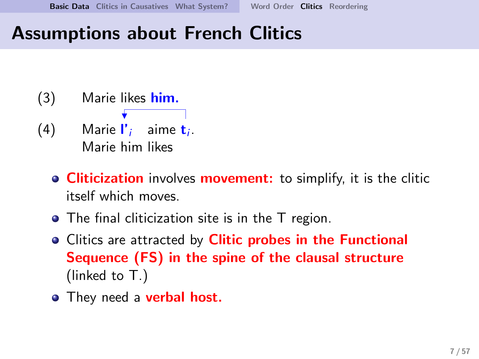## Assumptions about French Clitics

- <span id="page-6-0"></span>(3) Marie likes him. (4) Marie  $\mathbf{l}'_i$  aime  $\mathbf{t}_i$ . Marie him likes
	- **Cliticization** involves **movement:** to simplify, it is the clitic itself which moves.
	- The final cliticization site is in the T region.
	- Clitics are attracted by **Clitic probes in the Functional** Sequence (FS) in the spine of the clausal structure (linked to T.)
	- They need a **verbal host.**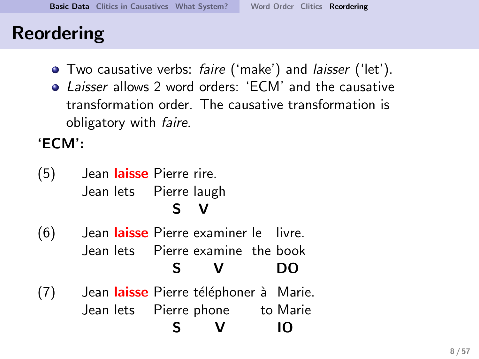## Reordering

- **•** Two causative verbs: *faire* ('make') and *laisser* ('let').
- Laisser allows 2 word orders: 'ECM' and the causative transformation order. The causative transformation is obligatory with faire.

'ECM':

- (5) Jean laisse Pierre rire. Jean lets Pierre laugh S V
- (6) Jean laisse Pierre examiner le livre. Jean lets Pierre examine the book S V DO
- <span id="page-7-0"></span>(7) Jean laisse Pierre téléphoner à Marie. Jean lets Pierre phone to Marie S V IO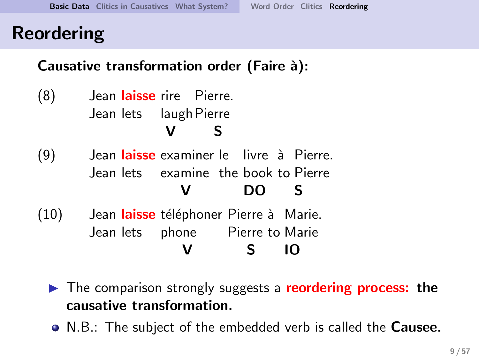## Reordering

### Causative transformation order (Faire à):

- (8) Jean laisse rire Pierre. Jean lets laugh Pierre V S
- (9) Jean laisse examiner le livre à Pierre. Jean lets examine the book to Pierre V DO S
- (10) Jean laisse téléphoner Pierre à Marie. Jean lets phone Pierre to Marie V S IO
	- ► The comparison strongly suggests a reordering process: the causative transformation.
	- N.B.: The subject of the embedded verb is called the **Causee.**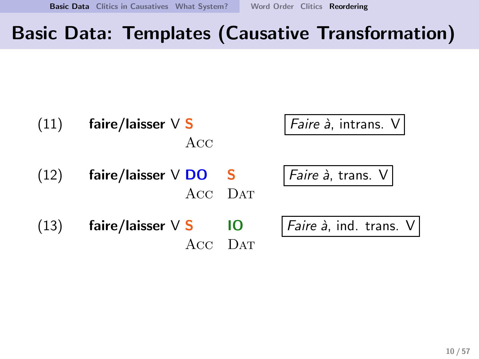## Basic Data: Templates (Causative Transformation)

| (11) | faire/laisser $\vee$ S<br>Acc |         | Faire à, intrans. V    |
|------|-------------------------------|---------|------------------------|
| (12) | faire/laisser $\vee$ DO S     | ACC DAT | Faire à, trans. V      |
| (13) | faire/laisser $\vee$ S        | 10      | Faire à, ind. trans. V |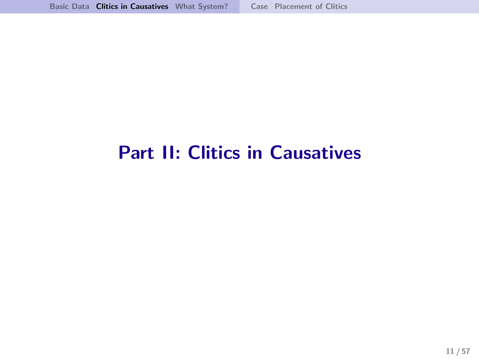# <span id="page-10-0"></span>Part II: Clitics in Causatives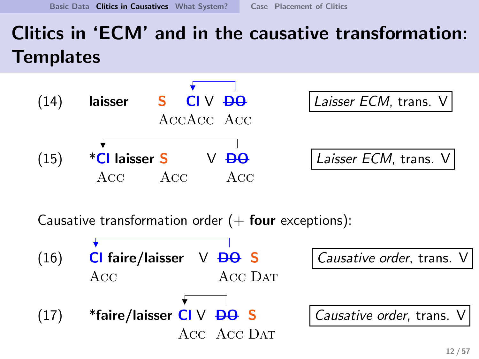# Clitics in 'ECM' and in the causative transformation: **Templates**



Causative transformation order  $(+)$  four exceptions):

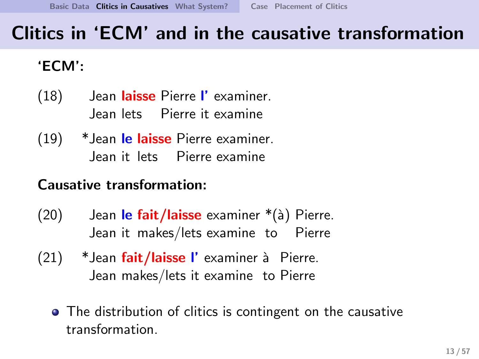## Clitics in 'ECM' and in the causative transformation

### 'ECM':

- (18) Jean **Iaisse** Pierre l'examiner. Jean lets Pierre it examine
- (19) × Jean <mark>le laisse</mark> Pierre examiner. Jean it lets Pierre examine

### Causative transformation:

- (20) Jean l**e fait/laisse** examiner \*(à) Pierre. Jean it makes/lets examine to Pierre
- (21) \*Jean fait/laisse l'examiner à Pierre. Jean makes/lets it examine to Pierre
	- The distribution of clitics is contingent on the causative transformation.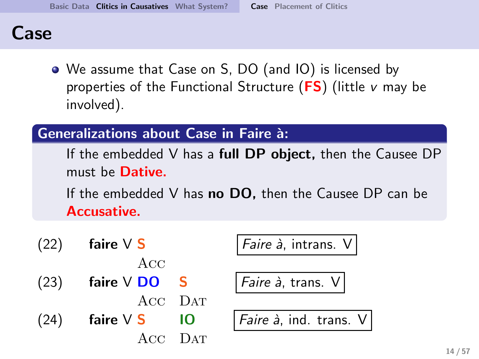### Case

We assume that Case on S, DO (and IO) is licensed by properties of the Functional Structure  $(FS)$  (little v may be involved).

#### Generalizations about Case in Faire `a:

If the embedded V has a **full DP object**, then the Causee DP must be **Dative.** 

If the embedded V has **no DO**, then the Causee DP can be Accusative.

|      | $(22)$ faire $V S$                  | Faire à, intrans. V         |
|------|-------------------------------------|-----------------------------|
|      | Acc                                 |                             |
|      | $(23)$ faire $V$ DO S               | <i>Faire à</i> , trans. $V$ |
|      | ACC DAT                             |                             |
| (24) | $\mathsf{faire} \vee \mathsf{S}$ 10 | Faire à, ind. trans.        |
|      | ACC DAT                             |                             |

<span id="page-13-0"></span> $\hat{\mathsf{a}}$ , ind. trans.  $\mathsf{V}$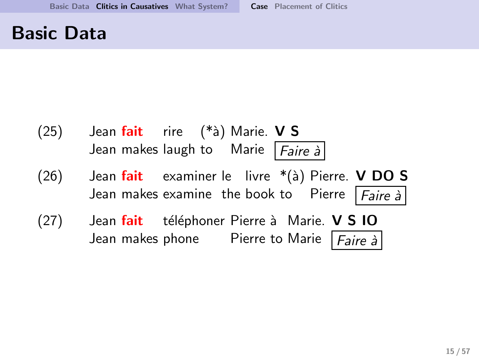### Basic Data

(25) Jean **fait** rire (\*à) Marie. **V S** Jean makes laugh to Marie |*Faire à* (26) Jean fait examiner le livre \*(à) Pierre. **V DO S** Jean makes examine the book to Pierre |*Faire à* (27) Jean fait téléphoner Pierre à Marie. V S IO Jean makes phone Pierre to Marie |*Faire à*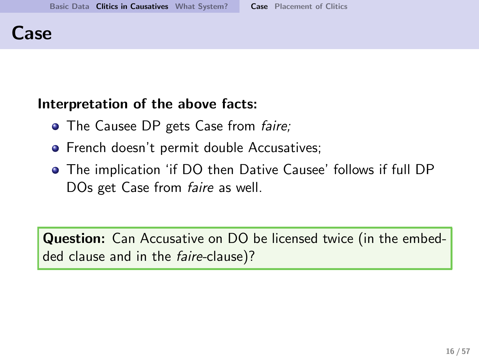### Case

#### Interpretation of the above facts:

- The Causee DP gets Case from *faire*;
- **•** French doesn't permit double Accusatives;
- The implication 'if DO then Dative Causee' follows if full DP DOs get Case from *faire* as well.

**Question:** Can Accusative on DO be licensed twice (in the embedded clause and in the faire-clause)?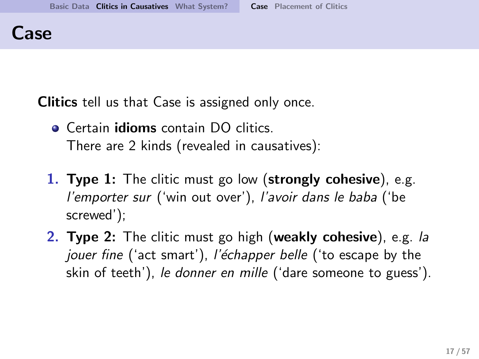### Case

Clitics tell us that Case is assigned only once.

- **Certain idioms contain DO clitics.** There are 2 kinds (revealed in causatives):
- 1. Type 1: The clitic must go low (strongly cohesive), e.g. l'emporter sur ('win out over'), l'avoir dans le baba ('be screwed');
- 2. Type 2: The clitic must go high (weakly cohesive), e.g. la jouer fine ('act smart'), l'échapper belle ('to escape by the skin of teeth'), le donner en mille ('dare someone to guess').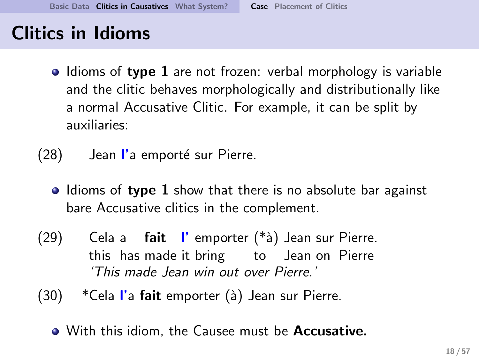- $\bullet$  Idioms of type 1 are not frozen: verbal morphology is variable and the clitic behaves morphologically and distributionally like a normal Accusative Clitic. For example, it can be split by auxiliaries:
- $(28)$  Jean l'a emporté sur Pierre.
	- Idioms of type 1 show that there is no absolute bar against bare Accusative clitics in the complement.
- $(29)$ this has made it bring to Jean on Pierre a **fait l'**emporter (\*à) Jean sur Pierre. 'This made Jean win out over Pierre.'
- $(30)$  \*Cela l'a fait emporter  $(\grave{a})$  Jean sur Pierre.
	- With this idiom, the Causee must be **Accusative.**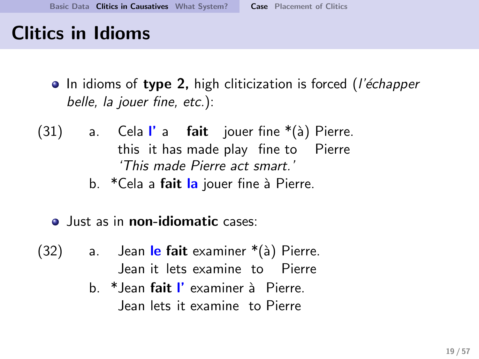- In idioms of type 2, high cliticization is forced (*l'échapper* belle, la jouer fine, etc.):
- (31) a. Cela**l'**a **fait** jouer-fine \*(à)-Pierre. this it has made play fine to Pierre 'This made Pierre act smart.'
	- b. \*Cela a **fait la** jouer fine à Pierre.
	- Just as in **non-idiomatic** cases:
- (32) a. Jean <mark>le fait</mark> examiner \*(à) Pierre. Jean it lets examine to Pierre
	- b. \*Jean **fait I'** examiner à Pierre. Jean lets it examine to Pierre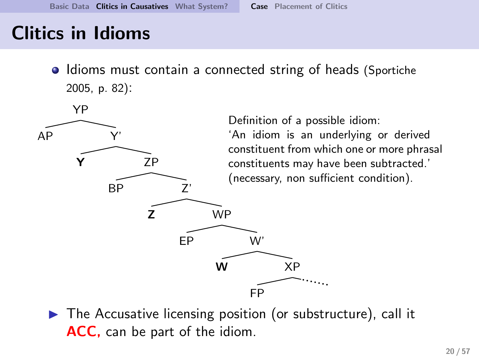• Idioms must contain a connected string of heads (Sportiche 2005, p. 82):



 $\triangleright$  The Accusative licensing position (or substructure), call it ACC, can be part of the idiom.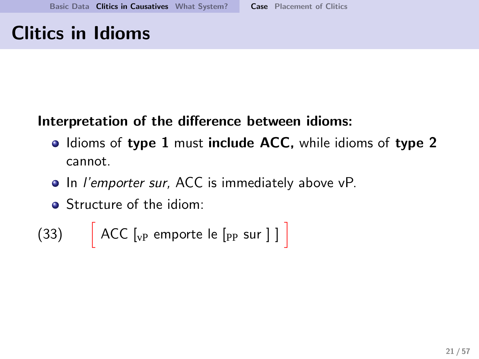### Interpretation of the difference between idioms:

- Idioms of type 1 must include ACC, while idioms of type 2 cannot.
- In *l'emporter sur*, ACC is immediately above vP.
- Structure of the idiom:

$$
(33) \qquad \left[ \text{ ACC } \left[_{\text{vP}} \text{ emporte } \text{le } \left[_{\text{PP}} \text{ sur } \right] \text{ } \right] \right]
$$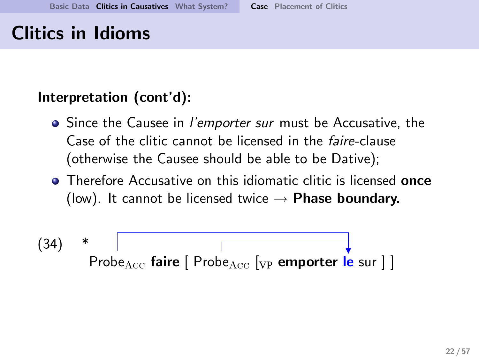#### Interpretation (cont'd):

- Since the Causee in *l'emporter sur* must be Accusative, the Case of the clitic cannot be licensed in the faire-clause (otherwise the Causee should be able to be Dative);
- **•** Therefore Accusative on this idiomatic clitic is licensed **once** (low). It cannot be licensed twice  $\rightarrow$  Phase boundary.

$$
(34) * \boxed{\qquad \qquad}
$$
\n
$$
Prob_{\text{Acc}} \text{ faire } [\text{ Prob}_{\text{Acc}} [v_{\text{P}} \text{ emperor } \text{le sur } ]]
$$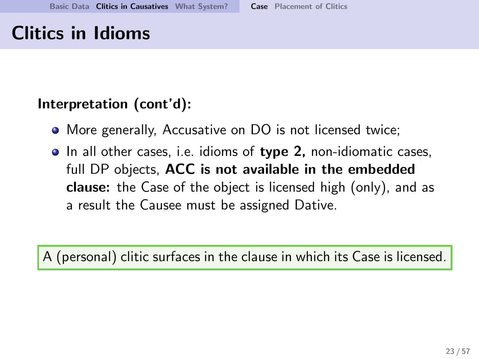### Interpretation (cont'd):

- More generally, Accusative on DO is not licensed twice;
- In all other cases, i.e. idioms of type 2, non-idiomatic cases, full DP objects, ACC is not available in the embedded clause: the Case of the object is licensed high (only), and as a result the Causee must be assigned Dative.

A (personal) clitic surfaces in the clause in which its Case is licensed.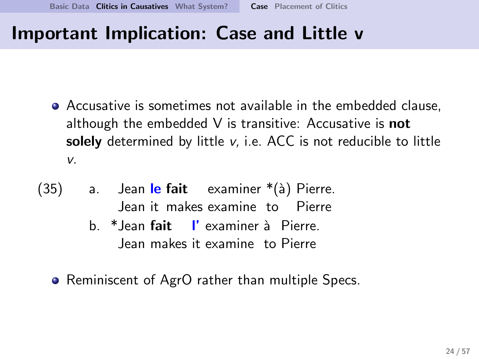## Important Implication: Case and Little v

- Accusative is sometimes not available in the embedded clause, although the embedded  $V$  is transitive: Accusative is **not** solely determined by little  $v$ , i.e. ACC is not reducible to little v.
- (35) a. Jean <mark>le fait</mark> examiner \*(à) Pierre. Jean it makes examine to Pierre
	- b. \*Jean fait l' examiner `a Pierre. Jean makes it examine to Pierre
	- Reminiscent of AgrO rather than multiple Specs.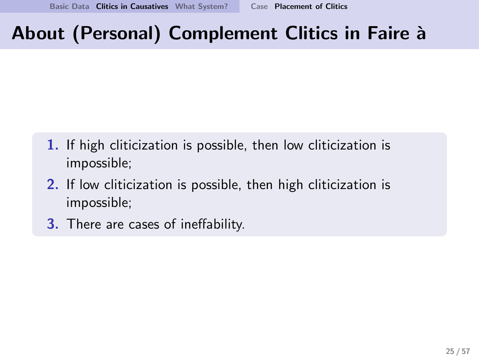- 1. If high cliticization is possible, then low cliticization is impossible;
- 2. If low cliticization is possible, then high cliticization is impossible;
- <span id="page-24-0"></span>3. There are cases of ineffability.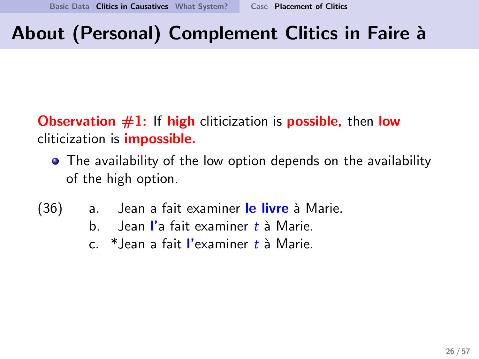**Observation**  $#1$ **:** If high cliticization is **possible**, then **low** cliticization is impossible.

- The availability of the low option depends on the availability of the high option.
- (36) a. Jean a fait examiner le livre à Marie.
	- b. Jean l'a fait examiner  $t$  à Marie.
	- $c$  \* lean a fait l'examiner t à Marie.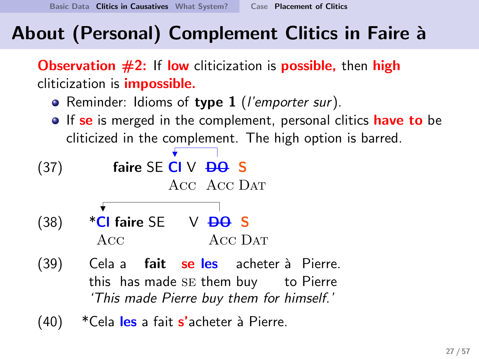**Observation**  $\#2$ **:** If low cliticization is **possible**, then high cliticization is impossible.

- Reminder: Idioms of type 1 (l'emporter sur).
- **If se** is merged in the complement, personal clitics **have to** be cliticized in the complement. The high option is barred.

(37) **faire SE** 
$$
\overset{\bullet}{CI}
$$
  $V$   $\overset{\bullet}{\mathbf{pQ}} \underset{\text{ACC}}{\mathbf{S}}$  **S**

- $(38)$  \*Cl faire SE  $V$  <del>DO</del> S Acc Data Acc Data
- $(39)$ this has made se them buy to Pierre Cela a **fait se les** acheter à Pierre. 'This made Pierre buy them for himself.'
- (40) \* Cela les a fait s'acheter à Pierre.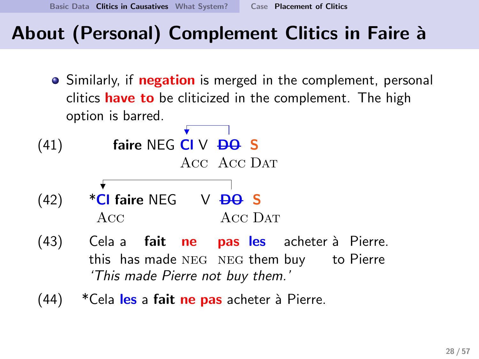[Basic Data](#page-4-0) [Clitics in Causatives](#page-10-0) [What System?](#page-35-0) [Case](#page-13-0) [Placement of Clitics](#page-24-0)

## About (Personal) Complement Clitics in Faire à

- Similarly, if **negation** is merged in the complement, personal clitics **have to** be cliticized in the complement. The high option is barred.
- $(41)$  faire NEG CI V  $\overline{DQ}$  S Acc Acc Dat
- $(42)$  \*CI faire NEG V  $\overline{DQ}$  S Acc Acc D<sub>AT</sub>
- $(43)$ this has made NEG NEG them buy to Pierre Cela a **fait ne pas les** acheter-à Pierre. 'This made Pierre not buy them.'
- $(44)$  \* Cela les a fait ne pas acheter à Pierre.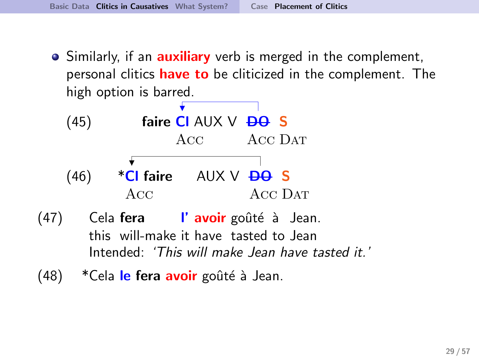• Similarly, if an **auxiliary** verb is merged in the complement, personal clitics **have to** be cliticized in the complement. The high option is barred.

(45) **faire C** 
$$
\overrightarrow{AUX} \vee \overrightarrow{BO} S
$$
  
Acc  $\overrightarrow{ACC}$   $\overrightarrow{ACC}$   
(46) **\*CI faire**  $\overrightarrow{AUX} \vee \overrightarrow{BO} S$   
Acc  $\overrightarrow{ACC}$   $\overrightarrow{ACC}$   $\overrightarrow{DAT}$ 

- (47) Cela **fera I' avoir** goûté à Jean. this will-make it have tasted to Jean Intended: 'This will make Jean have tasted it.'
- (48) \*Cela le fera avoir goûté à Jean.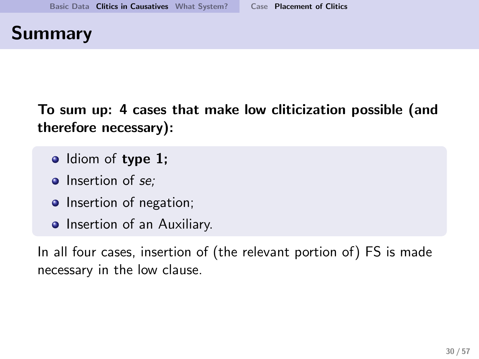## Summary

To sum up: 4 cases that make low cliticization possible (and therefore necessary):

- Idiom of type 1;
- $\bullet$  Insertion of se:
- Insertion of negation;
- Insertion of an Auxiliary.

In all four cases, insertion of (the relevant portion of) FS is made necessary in the low clause.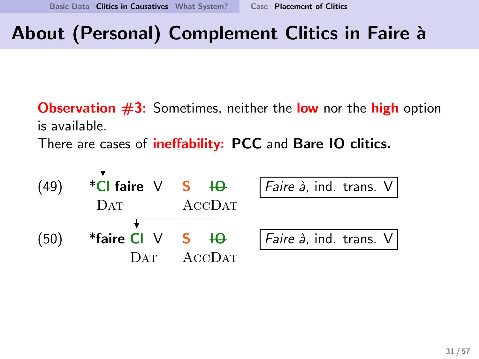**Observation**  $\#3$ **:** Sometimes, neither the **low** nor the **high** option is available.

There are cases of *ineffability*: PCC and Bare IO clitics.

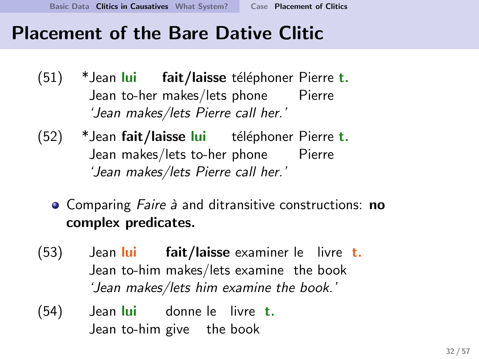## Placement of the Bare Dative Clitic

- (51) \*Jean <mark>Iui</mark> fait/laisse téléphoner Pierre t. Jean to-her makes/lets phone Pierre 'Jean makes/lets Pierre call her.'
- (52) \*Jean **fait/laisse l<mark>ui</mark> téléphoner Pierre t.** Jean makes/lets to-her phone Pierre 'Jean makes/lets Pierre call her.'
	- Comparing Faire à and ditransitive constructions: no complex predicates.
- (53) Jean <mark>Iui</mark> Jean to-him makes/lets examine the book **fait/laisse** examiner le livre t. 'Jean makes/lets him examine the book.'
- $(54)$ Jean to-him give the book lui donne le livre t.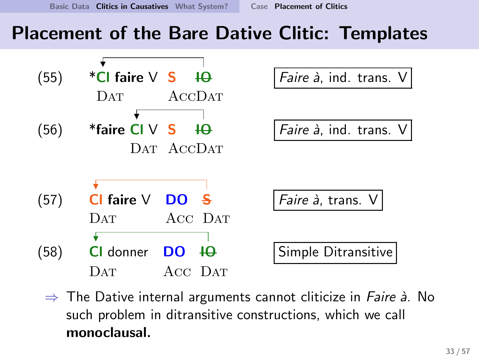## Placement of the Bare Dative Clitic: Templates



 $\Rightarrow$  The Dative internal arguments cannot cliticize in *Faire à*. No such problem in ditransitive constructions, which we call monoclausal.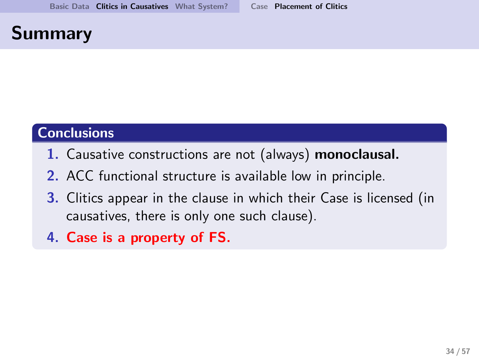## Summary

#### **Conclusions**

- 1. Causative constructions are not (always) monoclausal.
- 2. ACC functional structure is available low in principle.
- 3. Clitics appear in the clause in which their Case is licensed (in causatives, there is only one such clause).
- 4. Case is a property of FS.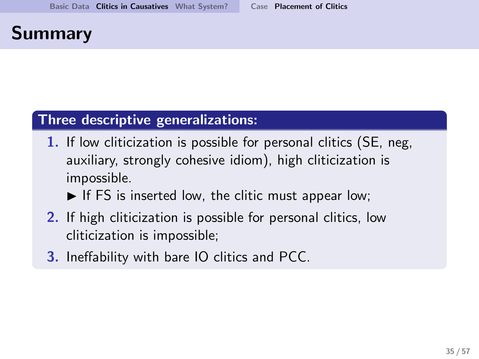## Summary

#### Three descriptive generalizations:

1. If low cliticization is possible for personal clitics (SE, neg, auxiliary, strongly cohesive idiom), high cliticization is impossible.

 $\blacktriangleright$  If FS is inserted low, the clitic must appear low;

- 2. If high cliticization is possible for personal clitics, low cliticization is impossible;
- 3. Ineffability with bare IO clitics and PCC.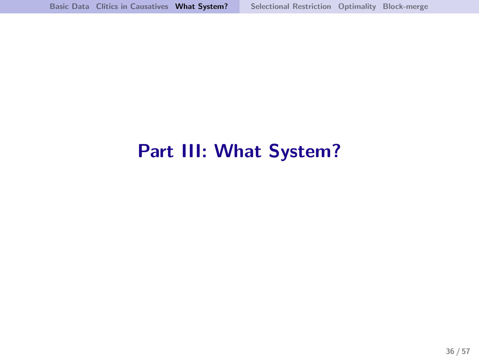# <span id="page-35-0"></span>Part III: What System?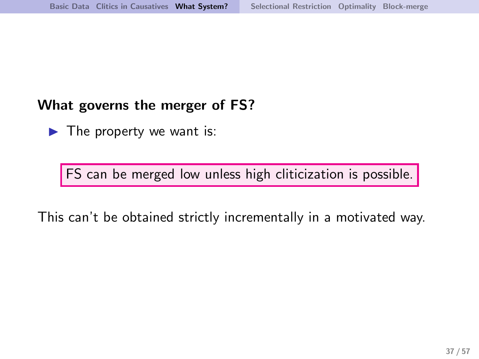#### What governs the merger of FS?

 $\blacktriangleright$  The property we want is:

FS can be merged low unless high cliticization is possible.

This can't be obtained strictly incrementally in a motivated way.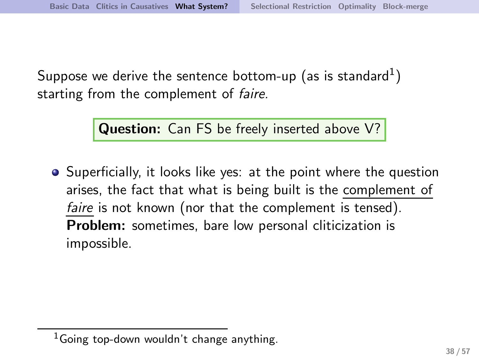Suppose we derive the sentence bottom-up (as is standard $^{\rm 1)}$ starting from the complement of *faire*.

Question: Can FS be freely inserted above V?

• Superficially, it looks like yes: at the point where the question arises, the fact that what is being built is the complement of faire is not known (nor that the complement is tensed). Problem: sometimes, bare low personal cliticization is impossible.

 $1$ Going top-down wouldn't change anything.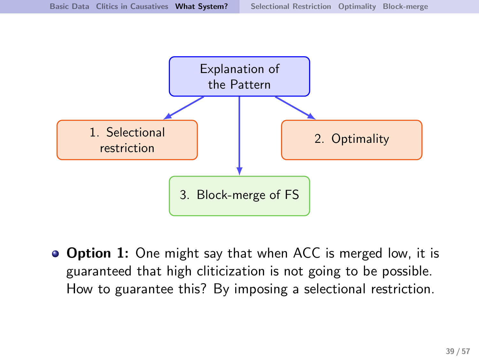![](_page_38_Figure_2.jpeg)

● Option 1: One might say that when ACC is merged low, it is guaranteed that high cliticization is not going to be possible. How to guarantee this? By imposing a selectional restriction.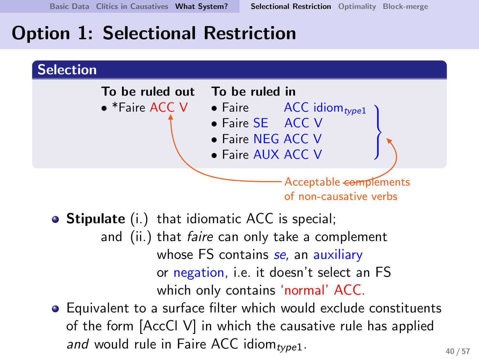## Option 1: Selectional Restriction

![](_page_39_Figure_3.jpeg)

- Stipulate (i.) that idiomatic ACC is special; and (ii.) that *faire* can only take a complement whose FS contains se, an auxiliary or negation, i.e. it doesn't select an FS which only contains 'normal' ACC.
- <span id="page-39-0"></span>Equivalent to a surface filter which would exclude constituents of the form [AccCl V] in which the causative rule has applied and would rule in Faire ACC idiom<sub>type1</sub>.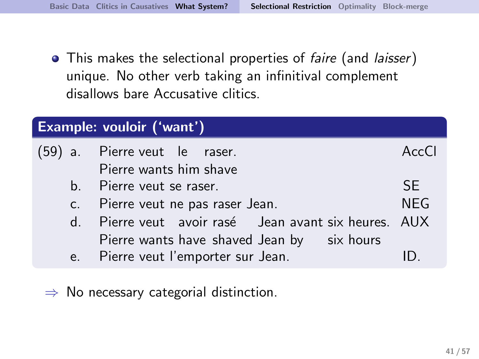• This makes the selectional properties of faire (and laisser) unique. No other verb taking an infinitival complement disallows bare Accusative clitics.

| Example: vouloir ('want') |                                                      |       |  |  |
|---------------------------|------------------------------------------------------|-------|--|--|
|                           | (59) a. Pierre veut le raser.                        | AccCl |  |  |
|                           | Pierre wants him shave                               |       |  |  |
|                           | b. Pierre veut se raser.                             | SE.   |  |  |
|                           | c. Pierre veut ne pas raser Jean.                    |       |  |  |
|                           | d. Pierre veut avoir rasé Jean avant six heures. AUX |       |  |  |
|                           | Pierre wants have shaved Jean by six hours           |       |  |  |
|                           | e. Pierre veut l'emporter sur Jean.                  |       |  |  |

 $\Rightarrow$  No necessary categorial distinction.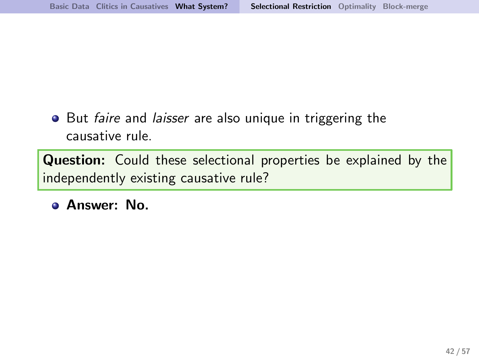• But faire and laisser are also unique in triggering the causative rule.

**Question:** Could these selectional properties be explained by the independently existing causative rule?

Answer: No.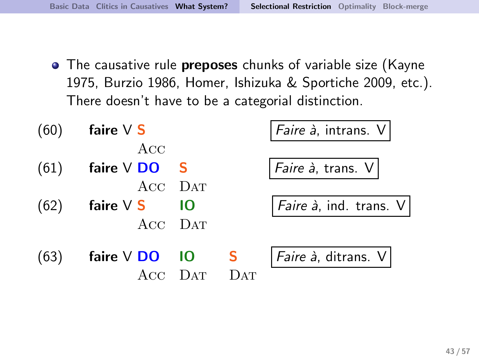• The causative rule **preposes** chunks of variable size (Kayne 1975, Burzio 1986, Homer, Ishizuka & Sportiche 2009, etc.). There doesn't have to be a categorial distinction.

| (60) | faire $V$ S           |          |      | Faire à, intrans. V                          |
|------|-----------------------|----------|------|----------------------------------------------|
| (61) | ACC<br>faire $V$ DO S |          |      | Faire à, trans. V                            |
|      | ACC DAT               |          |      |                                              |
| (62) | faire $V$ S           | - 10     |      | $  Faire \nightharpoonup$ , ind. trans. $V $ |
|      | ACC DAT               |          |      |                                              |
| (63) | faire $V$ DO $10$ S   |          |      | <i>Faire à</i> , ditrans. $V$                |
|      |                       | $\Gamma$ | 12AT |                                              |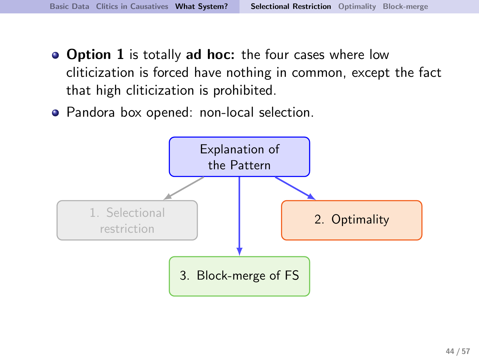- Option 1 is totally ad hoc: the four cases where low cliticization is forced have nothing in common, except the fact that high cliticization is prohibited.
- Pandora box opened: non-local selection.

![](_page_43_Figure_4.jpeg)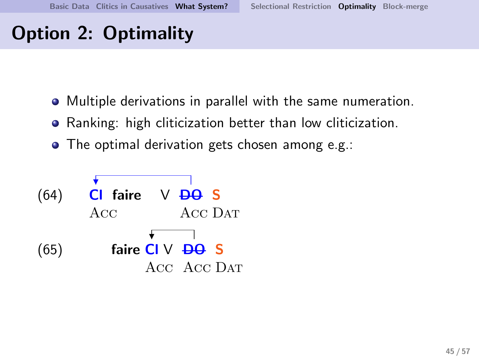# Option 2: Optimality

- Multiple derivations in parallel with the same numeration.
- Ranking: high cliticization better than low cliticization.
- <span id="page-44-0"></span>• The optimal derivation gets chosen among e.g.:

![](_page_44_Figure_6.jpeg)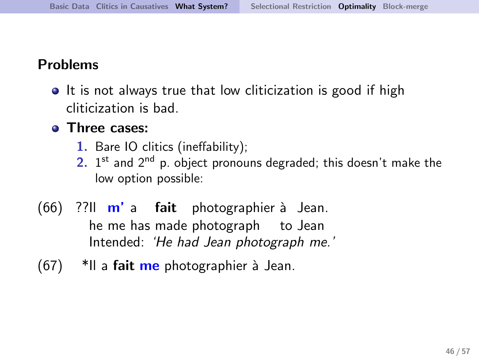#### Problems

• It is not always true that low cliticization is good if high cliticization is bad.

#### **•** Three cases:

- 1. Bare IO clitics (ineffability);
- $2.$  1<sup>st</sup> and  $2<sup>nd</sup>$  p. object pronouns degraded; this doesn't make the low option possible:
- (66) ??Il **m'**a **fait** photographier à Jean. he me has made photograph to Jean Intended: 'He had Jean photograph me.'
- $(67)$  \*Il a fait me photographier à Jean.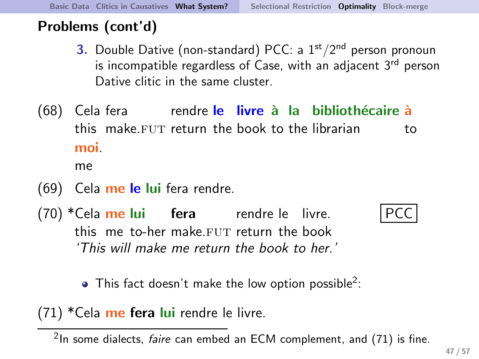### Problems (cont'd)

- 3. Double Dative (non-standard) PCC: a  $1<sup>st</sup>/2<sup>nd</sup>$  person pronoun is incompatible regardless of Case, with an adjacent 3<sup>rd</sup> person Dative clitic in the same cluster.
- (68) Cela fera rendre <mark>le livre à la bibliothécaire à</mark> this make.FUT return the book to the librarian to moi.

me

- (69) Cela me le lui fera rendre.
- (70) \*Cela me lui lefera lie rendre le livre. this me to-her make.FUT return the book 'This will make me return the book to her.'

<u>PCC</u>

<span id="page-46-0"></span>This fact doesn't make the low option possible $^2$ :

(71) \*Cela me fera lui rendre le livre.

 $2$ In some dialects, *faire* can embed an ECM complement, and  $(71)$  is fine.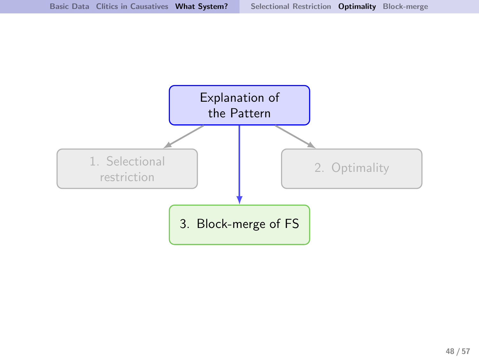![](_page_47_Figure_1.jpeg)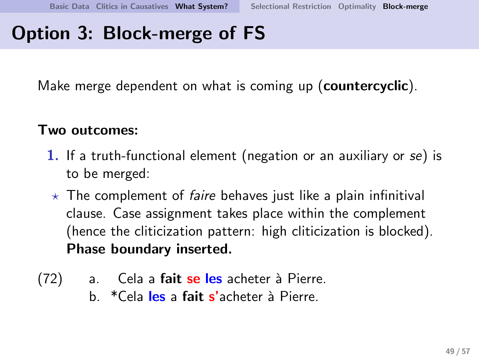# Option 3: Block-merge of FS

Make merge dependent on what is coming up (**countercyclic**).

#### Two outcomes:

- 1. If a truth-functional element (negation or an auxiliary or se) is to be merged:
- $\star$  The complement of *faire* behaves just like a plain infinitival clause. Case assignment takes place within the complement (hence the cliticization pattern: high cliticization is blocked). Phase boundary inserted.
- <span id="page-48-0"></span>(72) a. Cela a fait se les acheter à Pierre.
	- b. \*Cela les a fait s'acheter à Pierre.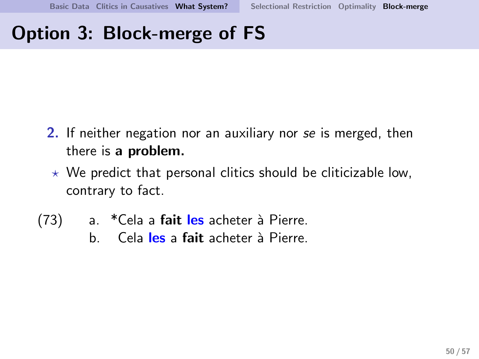# Option 3: Block-merge of FS

- 2. If neither negation nor an auxiliary nor se is merged, then there is a problem.
	- $\star$  We predict that personal clitics should be cliticizable low, contrary to fact.
- (73) a. \*Cela a fait les acheter à Pierre.
	- b. Cela les a fait acheter à Pierre.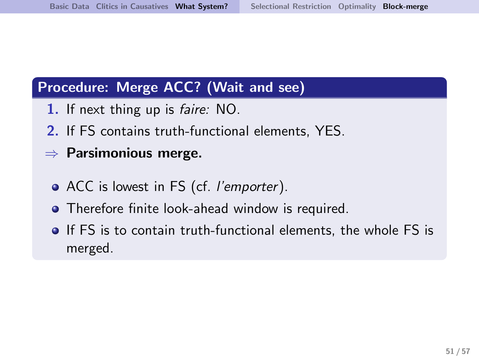#### Procedure: Merge ACC? (Wait and see)

- 1. If next thing up is faire: NO.
- 2. If FS contains truth-functional elements, YES.
- $\Rightarrow$  Parsimonious merge.
	- ACC is lowest in FS (cf. *l'emporter*).
	- **•** Therefore finite look-ahead window is required.
	- If FS is to contain truth-functional elements, the whole FS is merged.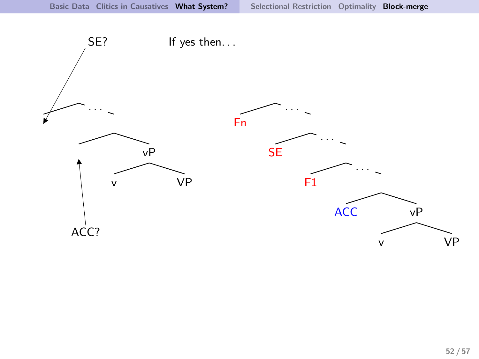![](_page_51_Figure_2.jpeg)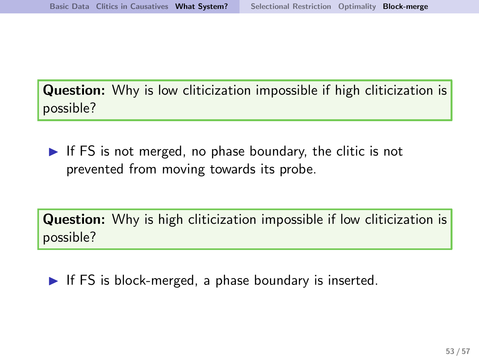**Question:** Why is low cliticization impossible if high cliticization is possible?

 $\blacktriangleright$  If FS is not merged, no phase boundary, the clitic is not prevented from moving towards its probe.

**Question:** Why is high cliticization impossible if low cliticization is possible?

 $\blacktriangleright$  If FS is block-merged, a phase boundary is inserted.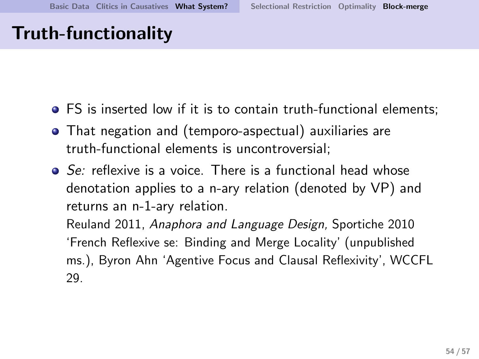## Truth-functionality

- FS is inserted low if it is to contain truth-functional elements;
- That negation and (temporo-aspectual) auxiliaries are truth-functional elements is uncontroversial;
- Se: reflexive is a voice. There is a functional head whose denotation applies to a n-ary relation (denoted by VP) and returns an n-1-ary relation.

Reuland 2011, Anaphora and Language Design, Sportiche 2010 'French Reflexive se: Binding and Merge Locality' (unpublished ms.), Byron Ahn 'Agentive Focus and Clausal Reflexivity', WCCFL 29.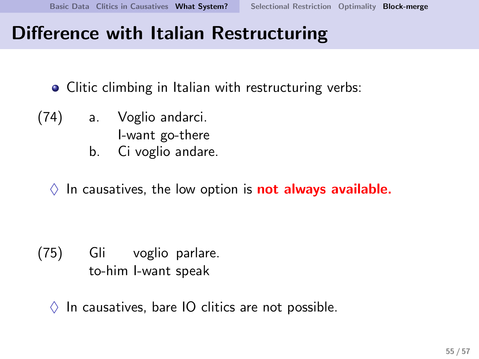## Difference with Italian Restructuring

- Clitic climbing in Italian with restructuring verbs:
- (74) a. Voglio andarci.
	- I-want go-there
	- b. Ci voglio andare.
	- $\Diamond$  In causatives, the low option is **not always available.**

- (75) Gli voglio parlare. to-him I-want speak
	- $\Diamond$  In causatives, bare IO clitics are not possible.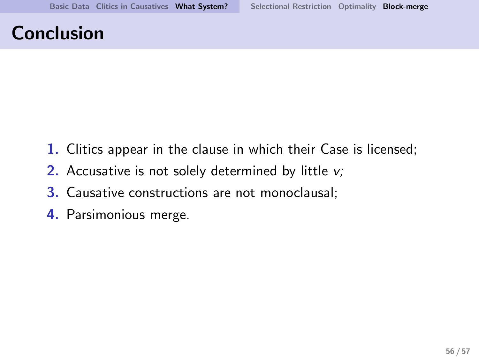## Conclusion

- 1. Clitics appear in the clause in which their Case is licensed;
- 2. Accusative is not solely determined by little v;
- 3. Causative constructions are not monoclausal;
- 4. Parsimonious merge.